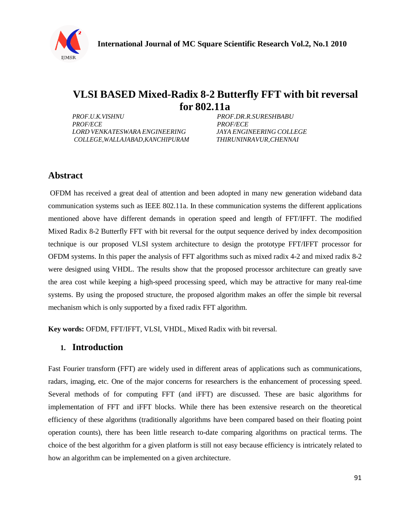

# **VLSI BASED Mixed-Radix 8-2 Butterfly FFT with bit reversal for 802.11a**

*PROF.U.K.VISHNU PROF.DR.R.SURESHBABU PROF/ECE PROF/ECE LORD VENKATESWARA ENGINEERING JAYA ENGINEERING COLLEGE COLLEGE,WALLAJABAD,KANCHIPURAM THIRUNINRAVUR,CHENNAI*

### **Abstract**

OFDM has received a great deal of attention and been adopted in many new generation wideband data communication systems such as IEEE 802.11a. In these communication systems the different applications mentioned above have different demands in operation speed and length of FFT/IFFT. The modified Mixed Radix 8-2 Butterfly FFT with bit reversal for the output sequence derived by index decomposition technique is our proposed VLSI system architecture to design the prototype FFT/IFFT processor for OFDM systems. In this paper the analysis of FFT algorithms such as mixed radix 4-2 and mixed radix 8-2 were designed using VHDL. The results show that the proposed processor architecture can greatly save the area cost while keeping a high-speed processing speed, which may be attractive for many real-time systems. By using the proposed structure, the proposed algorithm makes an offer the simple bit reversal mechanism which is only supported by a fixed radix FFT algorithm.

**Key words:** OFDM, FFT/IFFT, VLSI, VHDL, Mixed Radix with bit reversal.

#### **1. Introduction**

Fast Fourier transform (FFT) are widely used in different areas of applications such as communications, radars, imaging, etc. One of the major concerns for researchers is the enhancement of processing speed. Several methods of for computing FFT (and iFFT) are discussed. These are basic algorithms for implementation of FFT and iFFT blocks. While there has been extensive research on the theoretical efficiency of these algorithms (traditionally algorithms have been compared based on their floating point operation counts), there has been little research to-date comparing algorithms on practical terms. The choice of the best algorithm for a given platform is still not easy because efficiency is intricately related to how an algorithm can be implemented on a given architecture.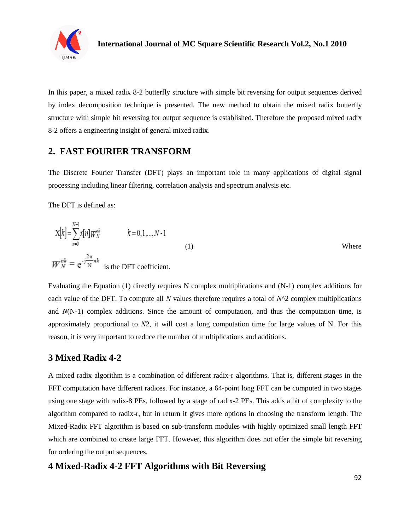

In this paper, a mixed radix 8-2 butterfly structure with simple bit reversing for output sequences derived by index decomposition technique is presented. The new method to obtain the mixed radix butterfly structure with simple bit reversing for output sequence is established. Therefore the proposed mixed radix 8-2 offers a engineering insight of general mixed radix.

#### **2. FAST FOURIER TRANSFORM**

The Discrete Fourier Transfer (DFT) plays an important role in many applications of digital signal processing including linear filtering, correlation analysis and spectrum analysis etc.

The DFT is defined as:

$$
X[k] = \sum_{n=0}^{N-1} x[n]W_N^{nk}
$$
  $k = 0, 1, ..., N-1$   
\n
$$
W_N^{nk} = e^{-j\frac{2\pi}{N}nk}
$$
 is the DFT coefficient. (1)

Evaluating the Equation (1) directly requires N complex multiplications and (N-1) complex additions for each value of the DFT. To compute all *N* values therefore requires a total of *N*^2 complex multiplications and *N*(N-1) complex additions. Since the amount of computation, and thus the computation time, is approximately proportional to *N*2, it will cost a long computation time for large values of N. For this reason, it is very important to reduce the number of multiplications and additions.

### **3 Mixed Radix 4-2**

A mixed radix algorithm is a combination of different radix-r algorithms. That is, different stages in the FFT computation have different radices. For instance, a 64-point long FFT can be computed in two stages using one stage with radix-8 PEs, followed by a stage of radix-2 PEs. This adds a bit of complexity to the algorithm compared to radix-r, but in return it gives more options in choosing the transform length. The Mixed-Radix FFT algorithm is based on sub-transform modules with highly optimized small length FFT which are combined to create large FFT. However, this algorithm does not offer the simple bit reversing for ordering the output sequences.

### **4 Mixed-Radix 4-2 FFT Algorithms with Bit Reversing**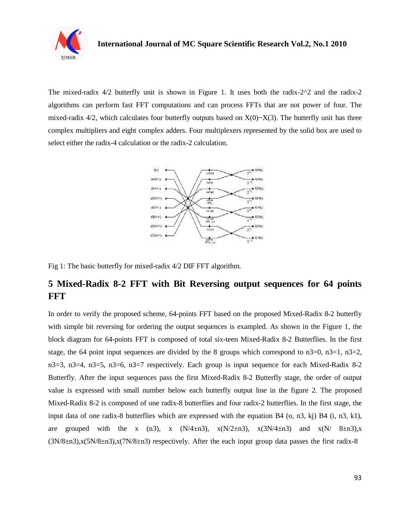

The mixed-radix 4/2 butterfly unit is shown in Figure 1. It uses both the radix-2^2 and the radix-2 algorithms can perform fast FFT computations and can process FFTs that are not power of four. The mixed-radix 4/2, which calculates four butterfly outputs based on  $X(0) \sim X(3)$ . The butterfly unit has three complex multipliers and eight complex adders. Four multiplexers represented by the solid box are used to select either the radix-4 calculation or the radix-2 calculation.



Fig 1: The basic butterfly for mixed-radix 4/2 DIF FFT algorithm.

### **5 Mixed-Radix 8-2 FFT with Bit Reversing output sequences for 64 points FFT**

In order to verify the proposed scheme, 64-points FFT based on the proposed Mixed-Radix 8-2 butterfly with simple bit reversing for ordering the output sequences is exampled. As shown in the Figure 1, the block diagram for 64-points FFT is composed of total six-teen Mixed-Radix 8-2 Butterflies. In the first stage, the 64 point input sequences are divided by the 8 groups which correspond to  $n3=0$ ,  $n3=1$ ,  $n3=2$ , n3=3, n3=4, n3=5, n3=6, n3=7 respectively. Each group is input sequence for each Mixed-Radix 8-2 Butterfly. After the input sequences pass the first Mixed-Radix 8-2 Butterfly stage, the order of output value is expressed with small number below each butterfly output line in the figure 2. The proposed Mixed-Radix 8-2 is composed of one radix-8 butterflies and four radix-2 butterflies. In the first stage, the input data of one radix-8 butterflies which are expressed with the equation B4 (o, n3, kj) B4 (i, n3, k1), are grouped with the x (n3), x (N/4 $\pm$ n3), x(N/2 $\pm$ n3), x(3N/4 $\pm$ n3) and x(N/ 8 $\pm$ n3),x  $(3N/8\pm n3)$ ,x $(5N/8\pm n3)$ ,x $(7N/8\pm n3)$  respectively. After the each input group data passes the first radix-8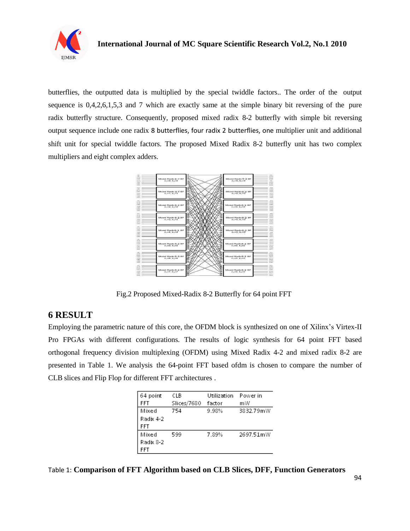

butterflies, the outputted data is multiplied by the special twiddle factors.. The order of the output sequence is 0,4,2,6,1,5,3 and 7 which are exactly same at the simple binary bit reversing of the pure radix butterfly structure. Consequently, proposed mixed radix 8-2 butterfly with simple bit reversing output sequence include one radix 8 butterflies, four radix 2 butterflies, one multiplier unit and additional shift unit for special twiddle factors. The proposed Mixed Radix 8-2 butterfly unit has two complex multipliers and eight complex adders.



Fig.2 Proposed Mixed-Radix 8-2 Butterfly for 64 point FFT

### **6 RESULT**

Employing the parametric nature of this core, the OFDM block is synthesized on one of Xilinx's Virtex-II Pro FPGAs with different configurations. The results of logic synthesis for 64 point FFT based orthogonal frequency division multiplexing (OFDM) using Mixed Radix 4-2 and mixed radix 8-2 are presented in Table 1. We analysis the 64-point FFT based ofdm is chosen to compare the number of CLB slices and Flip Flop for different FFT architectures .

| 64 point   | CLB         | Utilization | Power in  |
|------------|-------------|-------------|-----------|
| <b>FFT</b> | Slices/7680 | factor      | mW        |
| Mixed      | 754         | 9.98%       | 3832.79mW |
| Radix 4-2  |             |             |           |
| FFT        |             |             |           |
| Mixed      | 599         | 7.89%       | 2697.51mW |
| Radix 8-2  |             |             |           |
| FFT        |             |             |           |

Table 1: **Comparison of FFT Algorithm based on CLB Slices, DFF, Function Generators**